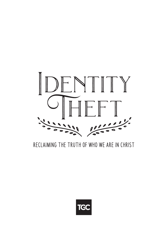

### RECLAIMING THE TRUTH OF WHO WE ARE IN CHRIST

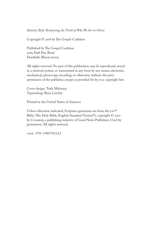#### *Identity Teft: Reclaiming the Truth of Who We Are in Christ*

Copyright  $©$  2018 by The Gospel Coalition

Published by The Gospel Coalition 2065 Half Day Road Deerfield, Illinois 60015

All rights reserved. No part of this publication may be reproduced, stored in a retrieval system, or transmitted in any form by any means, electronic, mechanical, photocopy, recording, or otherwise, without the prior permission of the publisher, except as provided for by USA copyright law.

Cover design: Trish Mahoney Typesetting: Ryan Leichty

Printed in the United States of America

Unless otherwise indicated, Scripture quotations are from the ESV® Bible (The Holy Bible, English Standard Version®), copyright © 2001 by Crossway, a publishing ministry of Good News Publishers. Used by permission. All rights reserved.

ISBN: 978-1980792123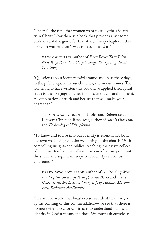"I hear all the time that women want to study their identity in Christ. Now there is a book that provides a winsome, biblical, relatable guide for that study! Every chapter in this book is a winner. I can't wait to recommend it!"

Nancy Guthrie, author of *Even Better Tan Eden: Nine Ways the Bible's Story Changes Everything About Your Story*

"Questions about identity swirl around and in us these days, in the public square, in our churches, and in our homes. The women who have written this book have applied theological truth to the longings and lies in our current cultural moment. A combination of truth and beauty that will make your heart soar."

Trevin Wax, Director for Bibles and Reference at Lifeway Christian Resources, author of *Tis Is Our Time* and *Eschatological Discipleship*.

"To know and to live into our identity is essential for both our own well-being and the well-being of the church. With compelling insights and biblical teaching, the essays collected here, written by some of wisest women I know, point out the subtle and signifcant ways true identity can be lost and found."

Karen Swallow Prior, author of *On Reading Well: Finding the Good Life through Great Books* and *Fierce Convictions: Te Extraordinary Life of Hannah More— Poet, Reformer, Abolitionist*

"In a secular world that boasts 50 sexual identities—or 500 by the printing of this commendation—we see that there is no more vital topic for Christians to understand than what identity in Christ means and does. We must ask ourselves: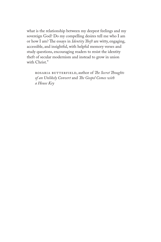what is the relationship between my deepest feelings and my sovereign God? Do my compelling desires tell me who I am or how I am? The essays in *Identity Theft* are witty, engaging, accessible, and insightful, with helpful memory verses and study questions, encouraging readers to resist the identity theft of secular modernism and instead to grow in union with Christ."

Rosaria Butterfield, author of *Te Secret Toughts of an Unlikely Convert* and *Te Gospel Comes with a House Key*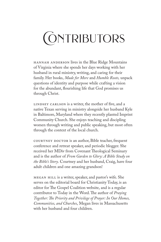# **CONTRIBUTORS**

Hannah Anderson lives in the Blue Ridge Mountains of Virginia where she spends her days working with her husband in rural ministry, writing, and caring for their family. Her books, *Made for More* and *Humble Roots,* unpack questions of identity and purpose while crafting a vision for the abundant, fourishing life that God promises us through Christ.

LINDSEY CARLSON is a writer, the mother of five, and a native Texan serving in ministry alongside her husband Kyle in Baltimore, Maryland where they recently planted Imprint Community Church. She enjoys teaching and discipling women through writing and public speaking, but most often through the context of the local church.

COURTNEY DOCTOR is an author, Bible teacher, frequent conference and retreat speaker, and periodic blogger. She received her MDiv from Covenant Theological Seminary and is the author of *From Garden to Glory: A Bible Study on the Bible's Story*. Courtney and her husband, Craig, have four adult children and one amazing grandson!

Megan Hill is a writer, speaker, and pastor's wife. She serves on the editorial board for Christianity Today, is an editor for The Gospel Coalition website, and is a regular contributor to Today in the Word. The author of *Praying Together: Te Priority and Privilege of Prayer: In Our Homes, Communities, and Churches*, Megan lives in Massachusetts with her husband and four children.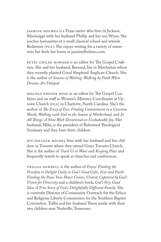Jasmine Holmes is a Texas native who lives in Jackson, Mississippi with her husband Phillip and her son Wynn. She teaches humanities at a small classical school and attends Redeemer (PCA). She enjoys writing for a variety of ministries but fnds her home at jasminelholmes.com.

BETSY CHILDS HOWARD is an editor for The Gospel Coalition. She and her husband, Bernard, live in Manhattan where they recently planted Good Shepherd Anglican Church. She is the author of *Seasons of Waiting: Walking by Faith When Dreams Are Delayed*.

MELISSA KRUGER serves as an editor for The Gospel Coalition and on staff as Women's Ministry Coordinator at Uptown Church (PCA) in Charlotte, North Carolina. She's the author of *Te Envy of Eve: Finding Contentment in a Covetous World*, *Walking with God in the Season of Motherhood*, and *In All Tings: A Nine Week Devotional on Unshakeable Joy*. Her husband, Mike, is the president of Reformed Theological Seminary and they have three children.

JEN POLLOCK MICHEL lives with her husband and five children in Toronto where they attend Grace Toronto Church. She is the author of *Teach Us to Want* and *Keeping Place* and frequently travels to speak at churches and conferences.

Trillia Newbell is the author of *Enjoy: Finding the Freedom to Delight Daily in God's Good Gifts*, *Fear and Faith: Finding the Peace Your Heart Craves*, *United: Captured by God's Vision for Diversity* and a children's book, *God's Very Good Idea: A True Story of God's Delightfully Diferent Family*. She is currently Director of Community Outreach for the Ethics and Religious Liberty Commission for the Southern Baptist Convention. Trillia and her husband Thern reside with their two children near Nashville, Tennessee.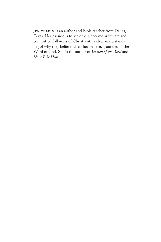JEN WILKIN is an author and Bible teacher from Dallas, Texas. Her passion is to see others become articulate and committed followers of Christ, with a clear understanding of why they believe what they believe, grounded in the Word of God. She is the author of *Women of the Word* and *None Like Him*.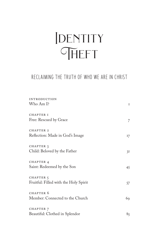## **IDENTITY** THEFT

#### RECLAIMING THE TRUTH OF WHO WE ARE IN CHRIST

| <b>INTRODUCTION</b>                   |    |
|---------------------------------------|----|
| Who Am I?                             | I  |
| <b>CHAPTER I</b>                      |    |
| Free: Rescued by Grace                | 7  |
| CHAPTER 2                             |    |
| Reflection: Made in God's Image       | 17 |
| CHAPTER 3                             |    |
| Child: Beloved by the Father          | 3I |
| CHAPTER 4                             |    |
| Saint: Redeemed by the Son            | 45 |
| CHAPTER <sub>5</sub>                  |    |
| Fruitful: Filled with the Holy Spirit | 57 |
| CHAPTER 6                             |    |
| Member: Connected to the Church       | 69 |
| CHAPTER 7                             |    |
| Beautiful: Clothed in Splendor        | 85 |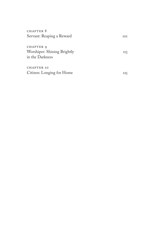| CHAPTER 8                                                   |            |
|-------------------------------------------------------------|------------|
| Servant: Reaping a Reward                                   | <b>TOT</b> |
| CHAPTER 9<br>Worshiper: Shining Brightly<br>in the Darkness | II3        |
| <b>CHAPTER IO</b><br>Citizen: Longing for Home              | 125        |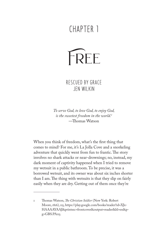### CHAPTER 1



RESCUED BY GRACE JEN WILKIN

*To serve God, to love God, to enjoy God, is the sweetest freedom in the world.<sup>1</sup>* —Tomas Watson

When you think of freedom, what's the frst thing that comes to mind? For me, it's La Jolla Cove and a snorkeling adventure that quickly went from fun to frantic. The story involves no shark attacks or near-drownings; no, instead, my dark moment of captivity happened when I tried to remove my wetsuit in a public bathroom. To be precise, it was a borrowed wetsuit, and its owner was about six inches shorter than I am. The thing with wetsuits is that they slip on fairly easily when they are dry. Getting out of them once they're

<sup>1</sup> Tomas Watson, *Te Christian Soldier* (New York: Robert Moore, 1816), 115, https://play.google.com/books/reader?id=XJx-HAAAAYAAJ&printsec=frontcover&output=reader&hl=en&p $g = GBS.PA<sub>I15</sub>$ .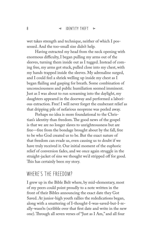wet takes strength and technique, neither of which I possessed. And the too-small size didn't help.

Having extracted my head from the neck opening with enormous difficulty, I began pulling my arms out of the sleeves, turning them inside out as I tugged. Instead of coming free, my arms got stuck, pulled close into my chest, with my hands trapped inside the sleeves. My adrenaline surged, and I could feel a shriek welling up inside my chest as I began failing and gasping for breath. Some combination of unconsciousness and public humiliation seemed imminent. Just as I was about to run screaming into the daylight, my daughters appeared in the doorway and performed a laborious extraction. Free! I will never forget the exuberant relief as that dripping pile of nefarious neoprene was peeled away.

Perhaps no idea is more foundational to the Christian's identity than freedom. The good news of the gospel is that we are no longer slaves to unrighteousness but are free—free from the bondage brought about by the fall, free to be who God created us to be. But the exact nature of that freedom can evade us, even causing us to doubt if we have truly received it. Our initial moment of the euphoric relief of conversion fades, and we once again struggle in the straight-jacket of sins we thought we'd stripped off for good. This has certainly been my story.

#### WHERE"S THE FREEDOM?

I grew up in the Bible Belt where, by mid-elementary, most of my peers could point proudly to a note written in the front of their Bibles announcing the exact date they Got Saved. At junior-high youth rallies the rededications began, along with a smattering of I-thought-I-was-saved-but-I-really-wasn'ts (scribble over that frst date and write in the new one). Through all seven verses of "Just as I Am," and all four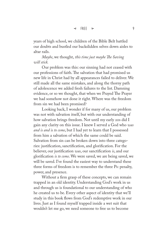years of high school, we children of the Bible Belt battled our doubts and bustled our backslidden selves down aisles to altar rails.

*Maybe*, we thought, *this time just maybe Te Saving will stick.*

Our problem was this: our sinning had not ceased with our professions of faith. The salvation that had promised us new life in Christ had by all appearances failed to deliver. We still made all the same mistakes, and along the thorny path of adolescence we added fresh failures to the list. Damning evidence, or so we thought, that when we Prayed The Prayer we had somehow not done it right. Where was the freedom from sin we had been promised?

Looking back, I wonder if for many of us, our problem was not with salvation itself, but with our understanding of how salvation brings freedom. Not until my early 20s did I gain any clarity on this issue. I knew I served a God who *was and is and is to come*, but I had yet to learn that I possessed from him a salvation of which the same could be said. Salvation from sin can be broken down into three categories: justifcation, sanctifcation, and glorifcation. For the believer, our justifcation *was*, our sanctifcation *is*, and our glorifcation *is to come*. We were saved, we are being saved, we will be saved. I've found the easiest way to understand these three forms of freedom is to remember the three Ps: penalty, power, and presence.

Without a frm grasp of these concepts, we can remain trapped in an old identity. Understanding God's work in us and through us is foundational to our understanding of who he created us to be. Every other aspect of identity that we'll study in this book flows from God's redemptive work in our lives. Just as I found myself trapped inside a wet suit that wouldn't let me go, we need someone to free us to become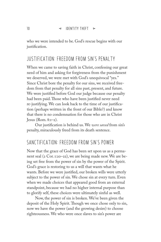who we were intended to be. God's rescue begins with our justifcation.

#### JUSTIFICATION: FREEDOM FROM SIN"S PENALTY

When we came to saving faith in Christ, confessing our great need of him and asking for forgiveness from the punishment we deserved, we were met with God's unequivocal "yes." Since Christ bore the penalty for our sins, we received freedom from that penalty for all sins past, present, and future. We were justifed before God our judge because our penalty had been paid. Those who have been justified never need re-justifying. We can look back to the time of our justifcation (perhaps written in the front of our Bible?) and know that there is no condemnation for those who are in Christ  $Jesus (Rom. 8:1-2).$ 

Our justifcation is behind us. We *were saved* from sin's penalty, miraculously freed from its death sentence.

#### SANCTIFICATION: FREEDOM FROM SIN"S POWER

Now that the grace of God has been set upon us as a permanent seal (2 Cor. 1:20–22), we are being made new. We are being set free from the power of sin by the power of the Spirit. God's grace is restoring to us a will that wants what he wants. Before we were justifed, our broken wills were utterly subject to the power of sin. We chose sin at every turn. Even when we made choices that appeared good from an external standpoint, because we had no higher internal purpose than to glorify self, these choices were ultimately sinful as well.

Now, the power of sin is broken. We've been given the deposit of the Holy Spirit. Though we once chose only to sin, now we have the power (and the growing desire) to choose righteousness. We who were once slaves to sin's power are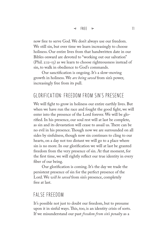now free to serve God. We don't always use our freedom. We still sin, but over time we learn increasingly to choose holiness. Our entire lives from that handwritten date in our Bibles onward are devoted to "working out our salvation" (Phil. 2:12–13) as we learn to choose righteousness instead of sin, to walk in obedience to God's commands.

Our sanctifcation is ongoing. It's a slow-moving growth in holiness. We *are being saved* from sin's power, increasingly free from its pull.

#### GLORIFICATION: FREEDOM FROM SIN"S PRESENCE

We will fght to grow in holiness our entire earthly lives. But when we have run the race and fought the good fight, we will enter into the presence of the Lord forever. We will be glorifed. In his presence, our soul rest will at last be complete, as sin and its devastation will cease to assail us. There can be no evil in his presence. Though now we are surrounded on all sides by sinfulness, though now sin continues to cling to our hearts, on a day not too distant we will go to a place where sin is no more. In our glorifcation we will at last be granted freedom from the very presence of sin. At that moment, for the frst time, we will rightly refect our true identity in every fber of our being.

Our glorifcation is coming. It's the day we trade the persistent presence of sin for the perfect presence of the Lord. We *will be saved* from sin's presence, completely free at last.

#### FALSE FREEDOM

It's possible not just to doubt our freedom, but to presume upon it in sinful ways. This, too, is an identity crisis of sorts. If we misunderstand our past *freedom from sin's penalty* as a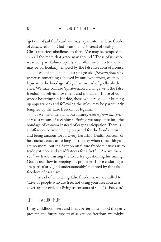"get out of jail free" card, we may lapse into the false freedom of *license*, relaxing God's commands instead of resting in Christ's perfect obedience to them. We may be tempted to "sin all the more that grace may abound." Those of us who wear our past failures openly and often succumb to shame may be particularly tempted by the false freedom of license.

If we misunderstand our progressive *freedom from sin's power* as something achieved by our own efforts, we may lapse into the bondage of *legalism* instead of godly obedience. We may confuse Spirit-enabled change with the false freedom of self-improvement and moralism. Those of us whose besetting sin is pride, those who are good at keeping up appearances and following the rules, may be particularly tempted by the false freedom of legalism.

If we misunderstand our future *freedom from sin's presence* as a means of escaping sufering, we may lapse into the bondage of *escapism* instead of eager anticipation. There is a diference between being prepared for the Lord's return and being anxious for it. Every hardship, health concern, or heartache causes us to long for the day when these things are no more. But if a fxation on future freedom causes us to trade patience and steadfastness for a fretful "Are we there yet?" we trade trusting the Lord for questioning his timing. God is not slow in keeping his promises. Those enduring trial are particularly (and understandably) tempted by the false freedom of escapism.

Instead of embracing false freedoms, we are called to "Live as people who are free, not using your freedom as a cover-up for evil, but living as servants of God" (1 Pet. 2:16).

#### REST LABOR HOPE

If my childhood peers and I had better understood the past, present, and future aspects of salvation's freedom, we might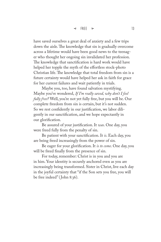have saved ourselves a great deal of anxiety and a few trips down the aisle. The knowledge that sin is gradually overcome across a lifetime would have been good news to the teenager who thought her ongoing sin invalidated her profession. The knowledge that sanctification is hard work would have helped her topple the myth of the effortless stock-photo Christian life. The knowledge that total freedom from sin is a future certainty would have helped her ask in faith for grace for her current failures and wait patiently in trials.

Maybe you, too, have found salvation mystifying. Maybe you've wondered, *If I'm really saved, why don't I feel fully free?* Well, you're not yet fully free, but you will be. Our complete freedom from sin is certain, but it's not sudden. So we rest confdently in our justifcation, we labor diligently in our sanctifcation, and we hope expectantly in our glorifcation.

Be assured of your justifcation. It *was*. One day, you were freed fully from the penalty of sin.

Be patient with your sanctifcation. It *is*. Each day, you are being freed increasingly from the power of sin.

Be eager for your glorifcation. It *is to come*. One day, you will be freed fnally from the presence of sin.

For today, remember: Christ is in you and you are in him. Your identity is securely anchored even as you are increasingly being transformed. Sister in Christ, live each day in the joyful certainty that "if the Son sets you free, you will be free indeed" ( John 8:36).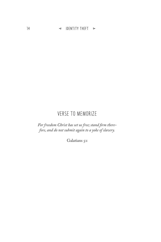14  $\Rightarrow$  IDENTITY THEFT  $\Leftarrow$ 

#### VERSE TO MEMORIZE

*For freedom Christ has set us free; stand frm therefore, and do not submit again to a yoke of slavery.*

Galatians 5:1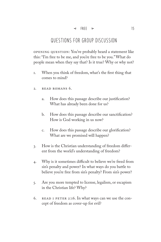#### QUESTIONS FOR GROUP DISCUSSION

Opening question: You've probably heard a statement like this: "I'm free to be me, and you're free to be you." What do people mean when they say that? Is it true? Why or why not?

- 1. When you think of freedom, what's the frst thing that comes to mind?
- 2. Read Romans 6.
	- a. How does this passage describe our justifcation? What has already been done for us?
	- b. How does this passage describe our sanctifcation? How is God working in us now?
	- c. How does this passage describe our glorifcation? What are we promised will happen?
- 3. How is the Christian understanding of freedom diferent from the world's understanding of freedom?
- 4. Why is it sometimes difficult to believe we're freed from sin's penalty and power? In what ways do you battle to believe you're free from sin's penalty? From sin's power?
- 5. Are you more tempted to license, legalism, or escapism in the Christian life? Why?
- 6. Read 1 Peter 2:16. In what ways can we use the concept of freedom as cover-up for evil?